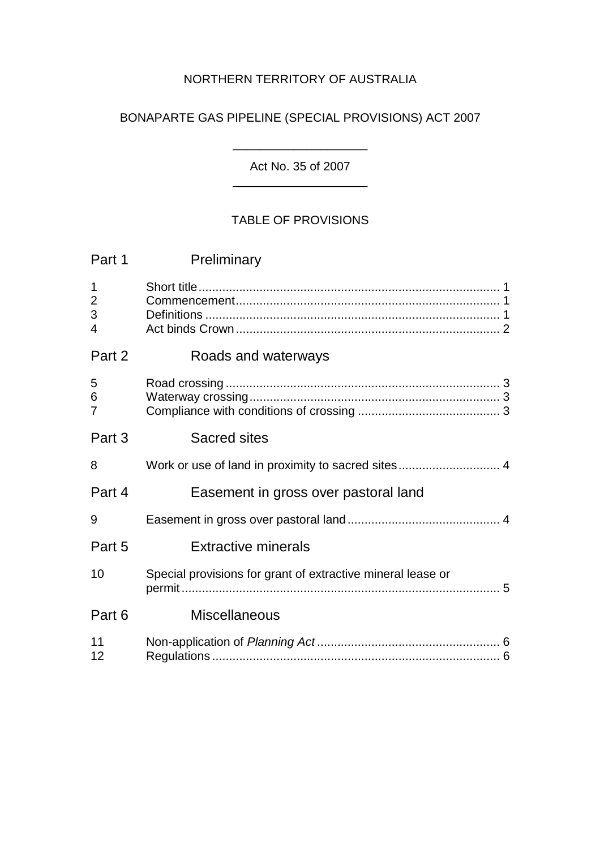# NORTHERN TERRITORY OF AUSTRALIA

# BONAPARTE GAS PIPELINE (SPECIAL PROVISIONS) ACT 2007

Act No. 35 of 2007 \_\_\_\_\_\_\_\_\_\_\_\_\_\_\_\_\_\_\_\_

 $\overline{\phantom{a}}$  , where  $\overline{\phantom{a}}$ 

# TABLE OF PROVISIONS

| Part 1                                               | Preliminary                                                 |
|------------------------------------------------------|-------------------------------------------------------------|
| $\mathbf 1$<br>$\overline{2}$<br>3<br>$\overline{4}$ |                                                             |
| Part 2                                               | Roads and waterways                                         |
| 5<br>6<br>$\overline{7}$                             |                                                             |
| Part 3                                               | <b>Sacred sites</b>                                         |
| 8                                                    |                                                             |
| Part 4                                               | Easement in gross over pastoral land                        |
| 9                                                    |                                                             |
| Part 5                                               | <b>Extractive minerals</b>                                  |
| 10                                                   | Special provisions for grant of extractive mineral lease or |
| Part 6                                               | <b>Miscellaneous</b>                                        |
| 11<br>12                                             |                                                             |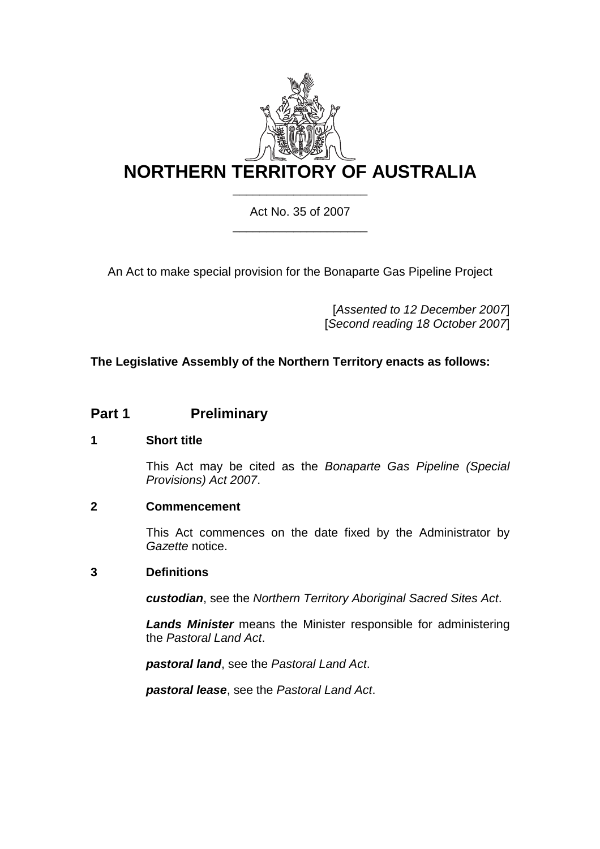

Act No. 35 of 2007 \_\_\_\_\_\_\_\_\_\_\_\_\_\_\_\_\_\_\_\_

An Act to make special provision for the Bonaparte Gas Pipeline Project

[*Assented to 12 December 2007*] [*Second reading 18 October 2007*]

# **The Legislative Assembly of the Northern Territory enacts as follows:**

# **Part 1** Preliminary

## **1 Short title**

This Act may be cited as the *Bonaparte Gas Pipeline (Special Provisions) Act 2007*.

## **2 Commencement**

This Act commences on the date fixed by the Administrator by *Gazette* notice.

## **3 Definitions**

*custodian*, see the *Northern Territory Aboriginal Sacred Sites Act*.

*Lands Minister* means the Minister responsible for administering the *Pastoral Land Act*.

*pastoral land*, see the *Pastoral Land Act*.

*pastoral lease*, see the *Pastoral Land Act*.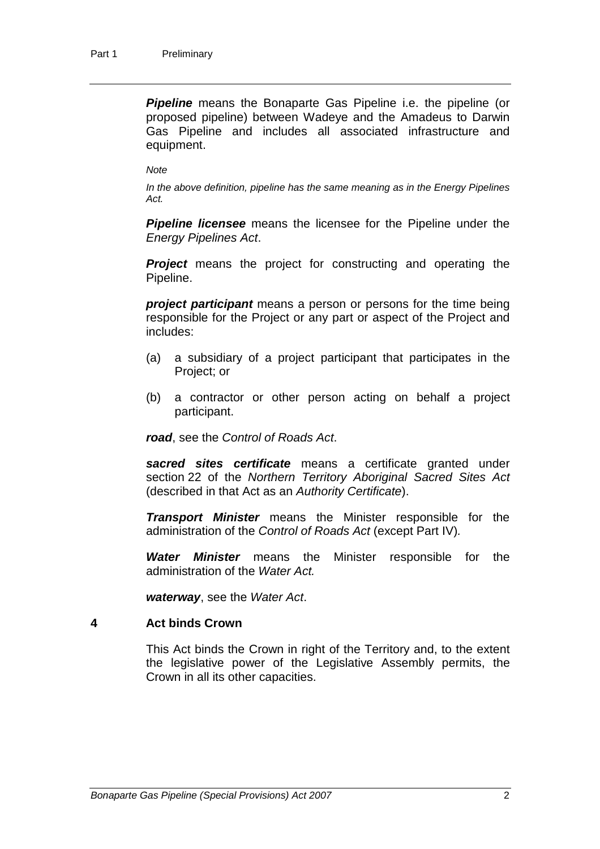**Pipeline** means the Bonaparte Gas Pipeline i.e. the pipeline (or proposed pipeline) between Wadeye and the Amadeus to Darwin Gas Pipeline and includes all associated infrastructure and equipment.

#### *Note*

*In the above definition, pipeline has the same meaning as in the Energy Pipelines Act.* 

*Pipeline licensee* means the licensee for the Pipeline under the *Energy Pipelines Act*.

**Project** means the project for constructing and operating the Pipeline.

*project participant* means a person or persons for the time being responsible for the Project or any part or aspect of the Project and includes:

- (a) a subsidiary of a project participant that participates in the Project; or
- (b) a contractor or other person acting on behalf a project participant.

*road*, see the *Control of Roads Act*.

*sacred sites certificate* means a certificate granted under section 22 of the *Northern Territory Aboriginal Sacred Sites Act* (described in that Act as an *Authority Certificate*).

*Transport Minister* means the Minister responsible for the administration of the *Control of Roads Act* (except Part IV)*.* 

*Water Minister* means the Minister responsible for the administration of the *Water Act.*

*waterway*, see the *Water Act*.

#### **4 Act binds Crown**

This Act binds the Crown in right of the Territory and, to the extent the legislative power of the Legislative Assembly permits, the Crown in all its other capacities.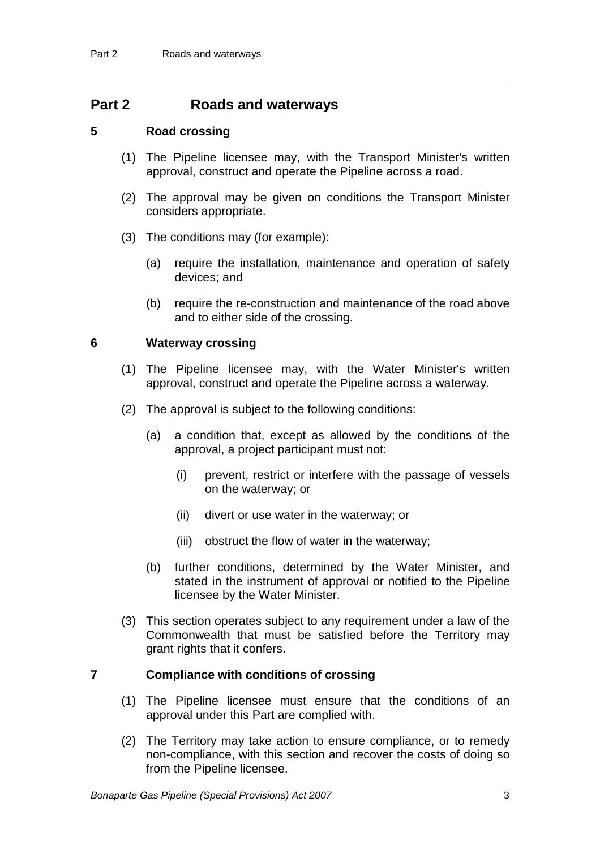# **Part 2 Roads and waterways**

## **5 Road crossing**

- (1) The Pipeline licensee may, with the Transport Minister's written approval, construct and operate the Pipeline across a road.
- (2) The approval may be given on conditions the Transport Minister considers appropriate.
- (3) The conditions may (for example):
	- (a) require the installation, maintenance and operation of safety devices; and
	- (b) require the re-construction and maintenance of the road above and to either side of the crossing.

#### **6 Waterway crossing**

- (1) The Pipeline licensee may, with the Water Minister's written approval, construct and operate the Pipeline across a waterway.
- (2) The approval is subject to the following conditions:
	- (a) a condition that, except as allowed by the conditions of the approval, a project participant must not:
		- (i) prevent, restrict or interfere with the passage of vessels on the waterway; or
		- (ii) divert or use water in the waterway; or
		- (iii) obstruct the flow of water in the waterway;
	- (b) further conditions, determined by the Water Minister, and stated in the instrument of approval or notified to the Pipeline licensee by the Water Minister.
- (3) This section operates subject to any requirement under a law of the Commonwealth that must be satisfied before the Territory may grant rights that it confers.

## **7 Compliance with conditions of crossing**

- (1) The Pipeline licensee must ensure that the conditions of an approval under this Part are complied with.
- (2) The Territory may take action to ensure compliance, or to remedy non-compliance, with this section and recover the costs of doing so from the Pipeline licensee.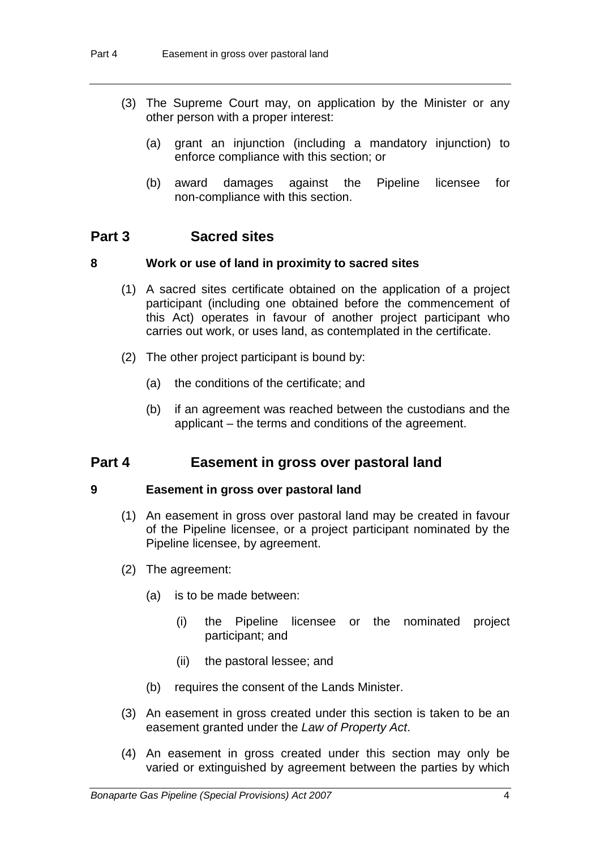- (3) The Supreme Court may, on application by the Minister or any other person with a proper interest:
	- (a) grant an injunction (including a mandatory injunction) to enforce compliance with this section; or
	- (b) award damages against the Pipeline licensee for non-compliance with this section.

# **Part 3 Sacred sites**

## **8 Work or use of land in proximity to sacred sites**

- (1) A sacred sites certificate obtained on the application of a project participant (including one obtained before the commencement of this Act) operates in favour of another project participant who carries out work, or uses land, as contemplated in the certificate.
- (2) The other project participant is bound by:
	- (a) the conditions of the certificate; and
	- (b) if an agreement was reached between the custodians and the applicant – the terms and conditions of the agreement.

# **Part 4 Easement in gross over pastoral land**

## **9 Easement in gross over pastoral land**

- (1) An easement in gross over pastoral land may be created in favour of the Pipeline licensee, or a project participant nominated by the Pipeline licensee, by agreement.
- (2) The agreement:
	- (a) is to be made between:
		- (i) the Pipeline licensee or the nominated project participant; and
		- (ii) the pastoral lessee; and
	- (b) requires the consent of the Lands Minister.
- (3) An easement in gross created under this section is taken to be an easement granted under the *Law of Property Act*.
- (4) An easement in gross created under this section may only be varied or extinguished by agreement between the parties by which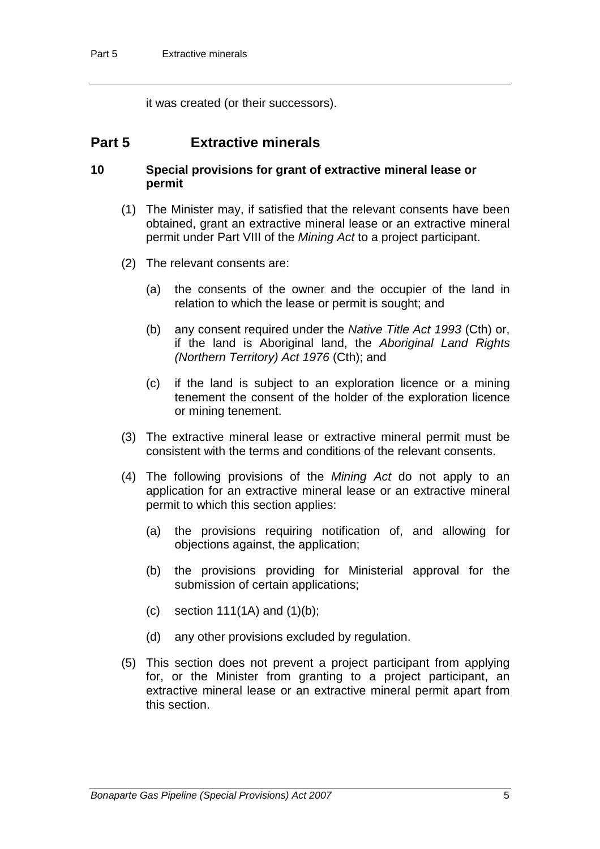it was created (or their successors).

# **Part 5 Extractive minerals**

#### **10 Special provisions for grant of extractive mineral lease or permit**

- (1) The Minister may, if satisfied that the relevant consents have been obtained, grant an extractive mineral lease or an extractive mineral permit under Part VIII of the *Mining Act* to a project participant.
- (2) The relevant consents are:
	- (a) the consents of the owner and the occupier of the land in relation to which the lease or permit is sought; and
	- (b) any consent required under the *Native Title Act 1993* (Cth) or, if the land is Aboriginal land, the *Aboriginal Land Rights (Northern Territory) Act 1976* (Cth); and
	- (c) if the land is subject to an exploration licence or a mining tenement the consent of the holder of the exploration licence or mining tenement.
- (3) The extractive mineral lease or extractive mineral permit must be consistent with the terms and conditions of the relevant consents.
- (4) The following provisions of the *Mining Act* do not apply to an application for an extractive mineral lease or an extractive mineral permit to which this section applies:
	- (a) the provisions requiring notification of, and allowing for objections against, the application;
	- (b) the provisions providing for Ministerial approval for the submission of certain applications;
	- (c) section  $111(1)$  and  $(1)(b)$ ;
	- (d) any other provisions excluded by regulation.
- (5) This section does not prevent a project participant from applying for, or the Minister from granting to a project participant, an extractive mineral lease or an extractive mineral permit apart from this section.